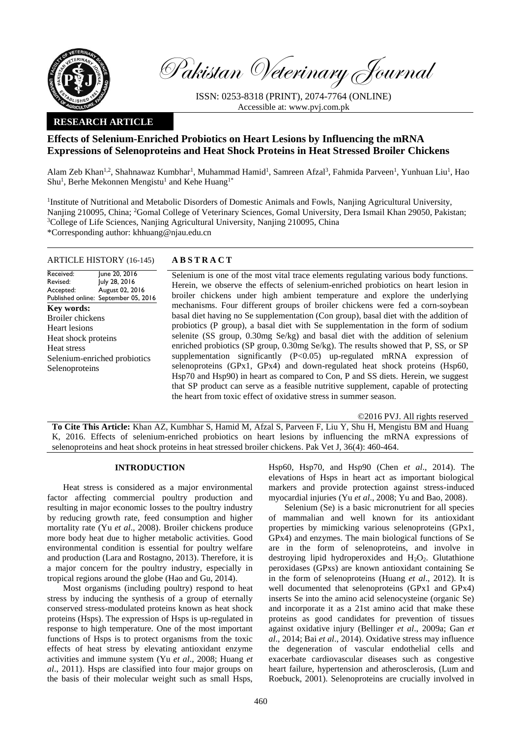

Pakistan Veterinary Journal

ISSN: 0253-8318 (PRINT), 2074-7764 (ONLINE) Accessible at: [www.pvj.com.pk](http://www.pvj.com.pk/)

## **RESEARCH ARTICLE**

# **Effects of Selenium-Enriched Probiotics on Heart Lesions by Influencing the mRNA Expressions of Selenoproteins and Heat Shock Proteins in Heat Stressed Broiler Chickens**

Alam Zeb Khan<sup>1,2</sup>, Shahnawaz Kumbhar<sup>1</sup>, Muhammad Hamid<sup>1</sup>, Samreen Afzal<sup>3</sup>, Fahmida Parveen<sup>1</sup>, Yunhuan Liu<sup>1</sup>, Hao Shu<sup>1</sup>, Berhe Mekonnen Mengistu<sup>1</sup> and Kehe Huang<sup>1\*</sup>

<sup>1</sup>Institute of Nutritional and Metabolic Disorders of Domestic Animals and Fowls, Nanjing Agricultural University, Nanjing 210095, China; <sup>2</sup>Gomal College of Veterinary Sciences, Gomal University, Dera Ismail Khan 29050, Pakistan; <sup>3</sup>College of Life Sciences, Nanjing Agricultural University, Nanjing 210095, China \*Corresponding author: khhuang@njau.edu.cn

## ARTICLE HISTORY (16-145) **A B S T R A C T**

Received: Revised: Accepted: Published online: September 05, 2016 June 20, 2016 July 28, 2016 August 02, 2016 **Key words:**  Broiler chickens Heart lesions Heat shock proteins Heat stress Selenium-enriched probiotics Selenoproteins

Selenium is one of the most vital trace elements regulating various body functions. Herein, we observe the effects of selenium-enriched probiotics on heart lesion in broiler chickens under high ambient temperature and explore the underlying mechanisms. Four different groups of broiler chickens were fed a corn-soybean basal diet having no Se supplementation (Con group), basal diet with the addition of probiotics (P group), a basal diet with Se supplementation in the form of sodium selenite (SS group, 0.30mg Se/kg) and basal diet with the addition of selenium enriched probiotics (SP group, 0.30mg Se/kg). The results showed that P, SS, or SP supplementation significantly  $(P<0.05)$  up-regulated mRNA expression of selenoproteins (GPx1, GPx4) and down-regulated heat shock proteins (Hsp60, Hsp70 and Hsp90) in heart as compared to Con, P and SS diets. Herein, we suggest that SP product can serve as a feasible nutritive supplement, capable of protecting the heart from toxic effect of oxidative stress in summer season.

©2016 PVJ. All rights reserved

**To Cite This Article:** Khan AZ, Kumbhar S, Hamid M, Afzal S, Parveen F, Liu Y, Shu H, Mengistu BM and Huang K, 2016. Effects of selenium-enriched probiotics on heart lesions by influencing the mRNA expressions of selenoproteins and heat shock proteins in heat stressed broiler chickens. Pak Vet J, 36(4): 460-464.

## **INTRODUCTION**

Heat stress is considered as a major environmental factor affecting commercial poultry production and resulting in major economic losses to the poultry industry by reducing growth rate, feed consumption and higher mortality rate (Yu *et al*., 2008). Broiler chickens produce more body heat due to higher metabolic activities. Good environmental condition is essential for poultry welfare and production (Lara and Rostagno, 2013). Therefore, it is a major concern for the poultry industry, especially in tropical regions around the globe (Hao and Gu, 2014).

Most organisms (including poultry) respond to heat stress by inducing the synthesis of a group of eternally conserved stress-modulated proteins known as heat shock proteins (Hsps). The expression of Hsps is up-regulated in response to high temperature. One of the most important functions of Hsps is to protect organisms from the toxic effects of heat stress by elevating antioxidant enzyme activities and immune system (Yu *et al*., 2008; Huang *et al*., 2011). Hsps are classified into four major groups on the basis of their molecular weight such as small Hsps,

Hsp60, Hsp70, and Hsp90 (Chen *et al*., 2014). The elevations of Hsps in heart act as important biological markers and provide protection against stress-induced myocardial injuries (Yu *et al*., 2008; Yu and Bao, 2008).

Selenium (Se) is a basic micronutrient for all species of mammalian and well known for its antioxidant properties by mimicking various selenoproteins (GPx1, GPx4) and enzymes. The main biological functions of Se are in the form of selenoproteins, and involve in destroying lipid hydroperoxides and  $H_2O_2$ . Glutathione peroxidases (GPxs) are known antioxidant containing Se in the form of selenoproteins (Huang *et al*., 2012). It is well documented that selenoproteins (GPx1 and GPx4) inserts Se into the amino acid selenocysteine (organic Se) and incorporate it as a 21st amino acid that make these proteins as good candidates for prevention of tissues against oxidative injury (Bellinger *et al*., 2009a; Gan *et al*., 2014; Bai *et al*., 2014). Oxidative stress may influence the degeneration of vascular endothelial cells and exacerbate cardiovascular diseases such as congestive heart failure, hypertension and atherosclerosis, (Lum and Roebuck, 2001). Selenoproteins are crucially involved in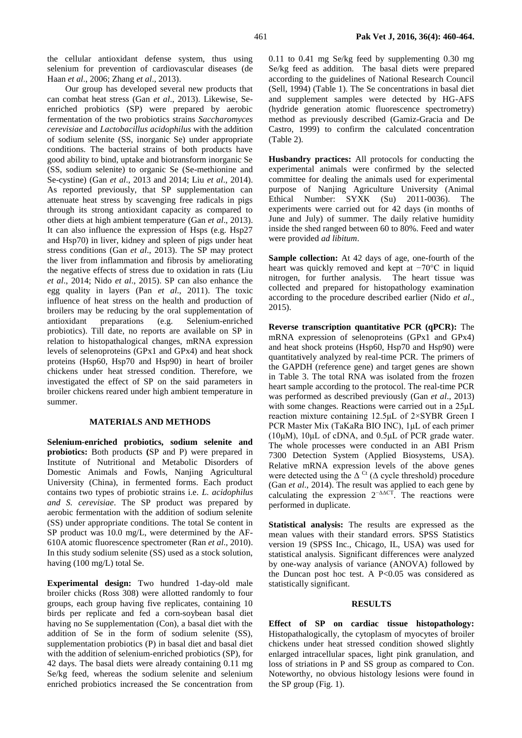the cellular antioxidant defense system, thus using selenium for prevention of cardiovascular diseases (de Haan *et al*., 2006; Zhang *et al*., 2013).

Our group has developed several new products that can combat heat stress (Gan *et al*., 2013). Likewise, Seenriched probiotics (SP) were prepared by aerobic fermentation of the two probiotics strains *Saccharomyces cerevisiae* and *Lactobacillus acidophilus* with the addition of sodium selenite (SS, inorganic Se) under appropriate conditions. The bacterial strains of both products have good ability to bind, uptake and biotransform inorganic Se (SS, sodium selenite) to organic Se (Se-methionine and Se-cystine) (Gan *et al*., 2013 and 2014; Liu *et al*., 2014). As reported previously, that SP supplementation can attenuate heat stress by scavenging free radicals in pigs through its strong antioxidant capacity as compared to other diets at high ambient temperature (Gan *et al*., 2013). It can also influence the expression of Hsps (e.g. Hsp27 and Hsp70) in liver, kidney and spleen of pigs under heat stress conditions (Gan *et al*., 2013). The SP may protect the liver from inflammation and fibrosis by ameliorating the negative effects of stress due to oxidation in rats (Liu *et al*., 2014; Nido *et al*., 2015). SP can also enhance the egg quality in layers (Pan *et al*., 2011). The toxic influence of heat stress on the health and production of broilers may be reducing by the oral supplementation of antioxidant preparations (e.g. Selenium-enriched probiotics). Till date, no reports are available on SP in relation to histopathalogical changes, mRNA expression levels of selenoproteins (GPx1 and GPx4) and heat shock proteins (Hsp60, Hsp70 and Hsp90) in heart of broiler chickens under heat stressed condition. Therefore, we investigated the effect of SP on the said parameters in broiler chickens reared under high ambient temperature in summer.

### **MATERIALS AND METHODS**

**Selenium-enriched probiotics, sodium selenite and probiotics:** Both products **(**SP and P) were prepared in Institute of Nutritional and Metabolic Disorders of Domestic Animals and Fowls, Nanjing Agricultural University (China), in fermented forms. Each product contains two types of probiotic strains i.e. *L. acidophilus and S. cerevisiae*. The SP product was prepared by aerobic fermentation with the addition of sodium selenite (SS) under appropriate conditions. The total Se content in SP product was 10.0 mg/L, were determined by the AF-610A atomic fluorescence spectrometer (Ran *et al*., 2010). In this study sodium selenite (SS) used as a stock solution, having (100 mg/L) total Se.

**Experimental design:** Two hundred 1-day-old male broiler chicks (Ross 308) were allotted randomly to four groups, each group having five replicates, containing 10 birds per replicate and fed a corn-soybean basal diet having no Se supplementation (Con), a basal diet with the addition of Se in the form of sodium selenite (SS), supplementation probiotics (P) in basal diet and basal diet with the addition of selenium-enriched probiotics (SP), for 42 days. The basal diets were already containing 0.11 mg Se/kg feed, whereas the sodium selenite and selenium enriched probiotics increased the Se concentration from 0.11 to 0.41 mg Se/kg feed by supplementing 0.30 mg Se/kg feed as addition. The basal diets were prepared according to the guidelines of National Research Council (Sell, 1994) (Table 1). The Se concentrations in basal diet and supplement samples were detected by HG-AFS (hydride generation atomic fluorescence spectrometry) method as previously described (Gamiz-Gracia and De Castro, 1999) to confirm the calculated concentration (Table 2).

**Husbandry practices:** All protocols for conducting the experimental animals were confirmed by the selected committee for dealing the animals used for experimental purpose of Nanjing Agriculture University (Animal Ethical Number: SYXK (Su) 2011-0036). The experiments were carried out for 42 days (in months of June and July) of summer. The daily relative humidity inside the shed ranged between 60 to 80%. Feed and water were provided *ad libitum*.

**Sample collection:** At 42 days of age, one-fourth of the heart was quickly removed and kept at −70°C in liquid nitrogen, for further analysis. The heart tissue was collected and prepared for histopathology examination according to the procedure described earlier (Nido *et al*., 2015).

**Reverse transcription quantitative PCR (qPCR):** The mRNA expression of selenoproteins (GPx1 and GPx4) and heat shock proteins (Hsp60, Hsp70 and Hsp90) were quantitatively analyzed by real-time PCR. The primers of the GAPDH (reference gene) and target genes are shown in Table 3. The total RNA was isolated from the frozen heart sample according to the protocol. The real-time PCR was performed as described previously (Gan *et al*., 2013) with some changes. Reactions were carried out in a 25μL reaction mixture containing 12.5μL of 2×SYBR Green I PCR Master Mix (TaKaRa BIO INC), 1μL of each primer (10μM), 10μL of cDNA, and 0.5μL of PCR grade water. The whole processes were conducted in an ABI Prism 7300 Detection System (Applied Biosystems, USA). Relative mRNA expression levels of the above genes were detected using the  $\Delta^{\text{Ct}}$  ( $\Delta$  cycle threshold) procedure (Gan *et al*., 2014). The result was applied to each gene by calculating the expression  $2^{-\Delta\Delta CT}$ . The reactions were performed in duplicate.

**Statistical analysis:** The results are expressed as the mean values with their standard errors. SPSS Statistics version 19 (SPSS Inc., Chicago, IL, USA) was used for statistical analysis. Significant differences were analyzed by one-way analysis of variance (ANOVA) followed by the Duncan post hoc test. A P<0.05 was considered as statistically significant.

#### **RESULTS**

**Effect of SP on cardiac tissue histopathology:**  Histopathalogically, the cytoplasm of myocytes of broiler chickens under heat stressed condition showed slightly enlarged intracellular spaces, light pink granulation, and loss of striations in P and SS group as compared to Con. Noteworthy, no obvious histology lesions were found in the SP group (Fig. 1).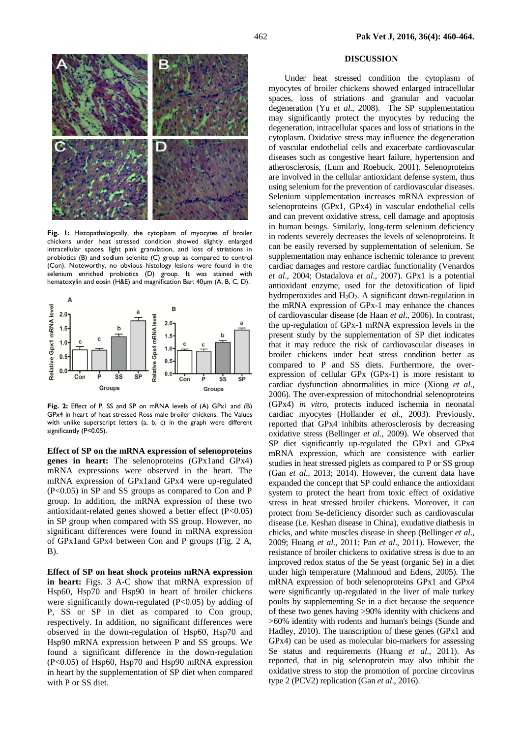#### **DISCUSSION**

Under heat stressed condition the cytoplasm of myocytes of broiler chickens showed enlarged intracellular spaces, loss of striations and granular and vacuolar degeneration (Yu *et al*., 2008). The SP supplementation may significantly protect the myocytes by reducing the degeneration, intracellular spaces and loss of striations in the cytoplasm. Oxidative stress may influence the degeneration of vascular endothelial cells and exacerbate cardiovascular diseases such as congestive heart failure, hypertension and atherosclerosis, (Lum and Roebuck, 2001). Selenoproteins are involved in the cellular antioxidant defense system, thus using selenium for the prevention of cardiovascular diseases. Selenium supplementation increases mRNA expression of selenoproteins (GPx1, GPx4) in vascular endothelial cells and can prevent oxidative stress, cell damage and apoptosis in human beings. Similarly, long-term selenium deficiency in rodents severely decreases the levels of selenoproteins. It can be easily reversed by supplementation of selenium. Se supplementation may enhance ischemic tolerance to prevent cardiac damages and restore cardiac functionality (Venardos *et al*., 2004; Ostadalova *et al*., 2007). GPx1 is a potential antioxidant enzyme, used for the detoxification of lipid hydroperoxides and  $H_2O_2$ . A significant down-regulation in the mRNA expression of GPx-1 may enhance the chances of cardiovascular disease (de Haan *et al*., 2006). In contrast, the up-regulation of GPx-1 mRNA expression levels in the present study by the supplementation of SP diet indicates that it may reduce the risk of cardiovascular diseases in broiler chickens under heat stress condition better as compared to P and SS diets. Furthermore, the overexpression of cellular GPx (GPx-1) is more resistant to cardiac dysfunction abnormalities in mice (Xiong *et al*., 2006). The over-expression of mitochondrial selenoproteins (GPx4) *in vitro,* protects induced ischemia in neonatal cardiac myocytes (Hollander *et al*., 2003). Previously, reported that GPx4 inhibits atherosclerosis by decreasing oxidative stress (Bellinger *et al*., 2009). We observed that SP diet significantly up-regulated the GPx1 and GPx4 mRNA expression, which are consistence with earlier studies in heat stressed piglets as compared to P or SS group (Gan *et al*., 2013; 2014). However, the current data have expanded the concept that SP could enhance the antioxidant system to protect the heart from toxic effect of oxidative stress in heat stressed broiler chickens. Moreover, it can protect from Se-deficiency disorder such as cardiovascular disease (i.e. Keshan disease in China), exudative diathesis in chicks, and white muscles disease in sheep (Bellinger *et al*., 2009; Huang *et al*., 2011; Pan *et al*., 2011). However, the resistance of broiler chickens to oxidative stress is due to an improved redox status of the Se yeast (organic Se) in a diet under high temperature (Mahmoud and Edens, 2005). The mRNA expression of both selenoproteins GPx1 and GPx4 were significantly up-regulated in the liver of male turkey poults by supplementing Se in a diet because the sequence of these two genes having >90% identity with chickens and >60% identity with rodents and human's beings (Sunde and Hadley, 2010). The transcription of these genes (GPx1 and GPx4) can be used as molecular bio-markers for assessing Se status and requirements (Huang *et al*., 2011). As reported, that in pig selenoprotein may also inhibit the oxidative stress to stop the promotion of porcine circovirus type 2 (PCV2) replication (Gan *et al*., 2016).



**Fig. 1:** Histopathalogically, the cytoplasm of myocytes of broiler chickens under heat stressed condition showed slightly enlarged intracellular spaces, light pink granulation, and loss of striations in probiotics (B) and sodium selenite (C) group as compared to control (Con). Noteworthy, no obvious histology lesions were found in the selenium enriched probiotics (D) group. It was stained with hematoxylin and eosin (H&E) and magnification Bar: 40µm (A, B, C, D).



**Fig. 2:** Effect of P, SS and SP on mRNA levels of (A) GPx1 and (B) GPx4 in heart of heat stressed Ross male broiler chickens. The Values with unlike superscript letters (a, b, c) in the graph were different significantly (P<0.05).

**Effect of SP on the mRNA expression of selenoproteins genes in heart:** The selenoproteins (GPx1and GPx4) mRNA expressions were observed in the heart. The mRNA expression of GPx1and GPx4 were up-regulated (P<0.05) in SP and SS groups as compared to Con and P group. In addition, the mRNA expression of these two antioxidant-related genes showed a better effect (P<0.05) in SP group when compared with SS group. However, no significant differences were found in mRNA expression of GPx1and GPx4 between Con and P groups (Fig. 2 A, B).

**Effect of SP on heat shock proteins mRNA expression in heart:** Figs. 3 A-C show that mRNA expression of Hsp60, Hsp70 and Hsp90 in heart of broiler chickens were significantly down-regulated (P<0.05) by adding of P, SS or SP in diet as compared to Con group, respectively. In addition, no significant differences were observed in the down-regulation of Hsp60, Hsp70 and Hsp90 mRNA expression between P and SS groups. We found a significant difference in the down-regulation (P<0.05) of Hsp60, Hsp70 and Hsp90 mRNA expression in heart by the supplementation of SP diet when compared with P or SS diet.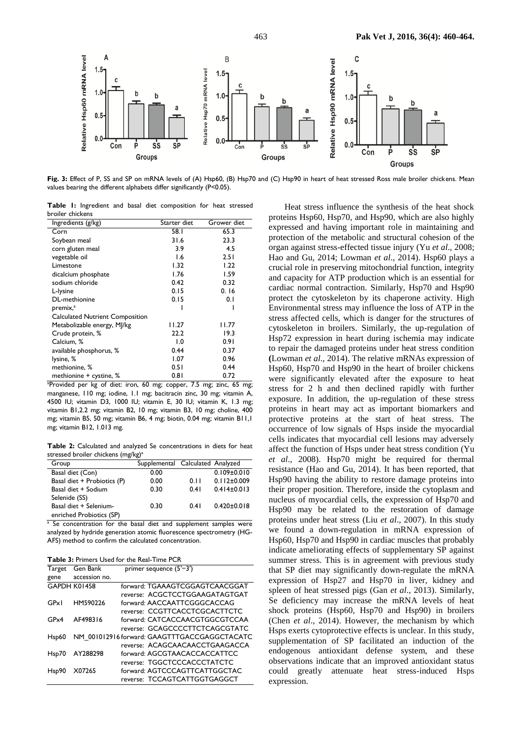

**Fig. 3:** Effect of P, SS and SP on mRNA levels of (A) Hsp60, (B) Hsp70 and (C) Hsp90 in heart of heat stressed Ross male broiler chickens. Mean values bearing the different alphabets differ significantly (P<0.05).

**Table 1:** Ingredient and basal diet composition for heat stressed broiler chickens

| Ingredients (g/kg)                                        | Starter diet   | Grower diet                        |
|-----------------------------------------------------------|----------------|------------------------------------|
| Corn                                                      | 58.I           | 65.3                               |
| Soybean meal                                              | 31.6           | 23.3                               |
| corn gluten meal                                          | 3.9            | 4.5                                |
| vegetable oil                                             | 1.6            | 2.51                               |
| Limestone                                                 | 1.32           | 1.22                               |
| dicalcium phosphate                                       | 1.76           | 1.59                               |
| sodium chloride                                           | 0.42           | 0.32                               |
| L-lysine                                                  | 0.15           | 0.16                               |
| DL-methionine                                             | 0.15           | 0.1                                |
| premix, <sup>a</sup>                                      |                |                                    |
| <b>Calculated Nutrient Composition</b>                    |                |                                    |
| Metabolizable energy, MJ/kg                               | 11.27          | I I.77                             |
| Crude protein, %                                          | 22.2           | 19.3                               |
| Calcium, %                                                | $\overline{0}$ | 0.91                               |
| available phosphorus, %                                   | 0.44           | 0.37                               |
| lysine, %                                                 | 1.07           | 0.96                               |
| methionine, %                                             | 0.51           | 0.44                               |
| methionine + cystine, %                                   | 0.81           | 0.72                               |
| حممن بممناه كمرحيل ممحر اممامنيومو00<br>$\Delta$ $\Delta$ | ----           | $7.5 \text{ m}$<br>7 E<br>$-1 - -$ |

<sup>a</sup>Provided per kg of diet: iron, 60 mg; copper, 7.5 mg; zinc, 65 mg; manganese, 110 mg; iodine, 1.1 mg; bacitracin zinc, 30 mg; vitamin A, 4500 IU; vitamin D3, 1000 IU; vitamin E, 30 IU; vitamin K, 1.3 mg; vitamin B1,2.2 mg; vitamin B2, 10 mg; vitamin B3, 10 mg; choline, 400 mg; vitamin B5, 50 mg; vitamin B6, 4 mg; biotin, 0.04 mg; vitamin B11,1 mg; vitamin B12, 1.013 mg.

**Table 2:** Calculated and analyzed Se concentrations in diets for heat stressed broiler chickens (mg/kg)<sup>a</sup>

| Group                       | Supplemental Calculated Analyzed |      |                   |
|-----------------------------|----------------------------------|------|-------------------|
| Basal diet (Con)            | 0.00                             |      | $0.109 \pm 0.010$ |
| Basal diet + Probiotics (P) | 0.00                             | 0.11 | $0.112 \pm 0.009$ |
| Basal diet + Sodium         | 0.30                             | 0.41 | $0.414 \pm 0.013$ |
| Selenide (SS)               |                                  |      |                   |
| Basal diet + Selenium-      | 0.30                             | 0.41 | $0.420 \pm 0.018$ |
| enriched Probiotics (SP)    |                                  |      |                   |

<sup>a</sup> Se concentration for the basal diet and supplement samples were analyzed by hydride generation atomic fluorescence spectrometry (HG-AFS) method to confirm the calculated concentration.

|  |  |  | <b>Table 3: Primers Used for the Real-Time PCR</b> |  |
|--|--|--|----------------------------------------------------|--|
|  |  |  |                                                    |  |

| Target       | Gen Bank      | primer sequence $(5'$ –3')                   |
|--------------|---------------|----------------------------------------------|
| gene         | accession no. |                                              |
| GAPDH K01458 |               | forward: TGAAAGTCGGAGTCAACGGAT               |
|              |               | reverse: ACGCTCCTGGAAGATAGTGAT               |
| GPxI         | HM590226      | forward: AACCAATTCGGGCACCAG                  |
|              |               | reverse: CCGTTCACCTCGCACTTCTC                |
| GPx4         | AF498316      | forward: CATCACCAACGTGGCGTCCAA               |
|              |               | reverse: GCAGCCCCTTCTCAGCGTATC               |
| Hsp60        |               | NM 001012916 forward: GAAGTTTGACCGAGGCTACATC |
|              |               | reverse: ACAGCAACAACCTGAAGACCA               |
| Hsp70        | AY288298      | forward: AGCGTAACACCACCATTCC                 |
|              |               | reverse: TGGCTCCCACCCTATCTC                  |
| Hsp90        | X07265        | forward: AGTCCCAGTTCATTGGCTAC                |
|              |               | reverse: TCCAGTCATTGGTGAGGCT                 |

Heat stress influence the synthesis of the heat shock proteins Hsp60, Hsp70, and Hsp90, which are also highly expressed and having important role in maintaining and protection of the metabolic and structural [cohesion](http://cn.bing.com/search?q=define+cohesion) of the organ against stress-effected tissue injury (Yu *et al*., 2008; Hao and Gu, 2014; Lowman *et al*., 2014). Hsp60 plays a crucial role in preserving mitochondrial function, integrity and capacity for ATP production which is an essential for cardiac normal contraction. Similarly, Hsp70 and Hsp90 protect the cytoskeleton by its chaperone activity. High Environmental stress may influence the loss of ATP in the stress affected cells, which is danger for the structures of cytoskeleton in broilers. Similarly, the up-regulation of Hsp72 expression in heart during ischemia may indicate to repair the damaged proteins under heat stress condition **(**Lowman *et al*., 2014). The relative mRNAs expression of Hsp60, Hsp70 and Hsp90 in the heart of broiler chickens were significantly elevated after the exposure to heat stress for 2 h and then declined rapidly with further exposure. In addition, the up-regulation of these stress proteins in heart may act as important biomarkers and protective proteins at the start of heat stress. The occurrence of low signals of Hsps inside the myocardial cells indicates that myocardial cell lesions may adversely affect the function of Hsps under heat stress condition (Yu *et al*., 2008). Hsp70 might be required for thermal resistance (Hao and Gu, 2014). It has been reported, that Hsp90 having the ability to restore damage proteins into their proper position. Therefore, inside the cytoplasm and nucleus of myocardial cells, the expression of Hsp70 and Hsp90 may be related to the restoration of damage proteins under heat stress (Liu *et al*., 2007). In this study we found a down-regulation in mRNA expression of Hsp60, Hsp70 and Hsp90 in cardiac muscles that probably indicate ameliorating effects of supplementary SP against summer stress. This is in agreement with previous study that SP diet may significantly down-regulate the mRNA expression of Hsp27 and Hsp70 in liver, kidney and spleen of heat stressed pigs (Gan *et al*., 2013). Similarly, Se deficiency may increase the mRNA levels of heat shock proteins (Hsp60, Hsp70 and Hsp90) in broilers (Chen *et al*., 2014). However, the mechanism by which Hsps exerts cytoprotective effects is unclear. In this study, supplementation of SP facilitated an induction of the endogenous antioxidant defense system, and these observations indicate that an improved antioxidant status could greatly attenuate heat stress-induced Hsps expression.